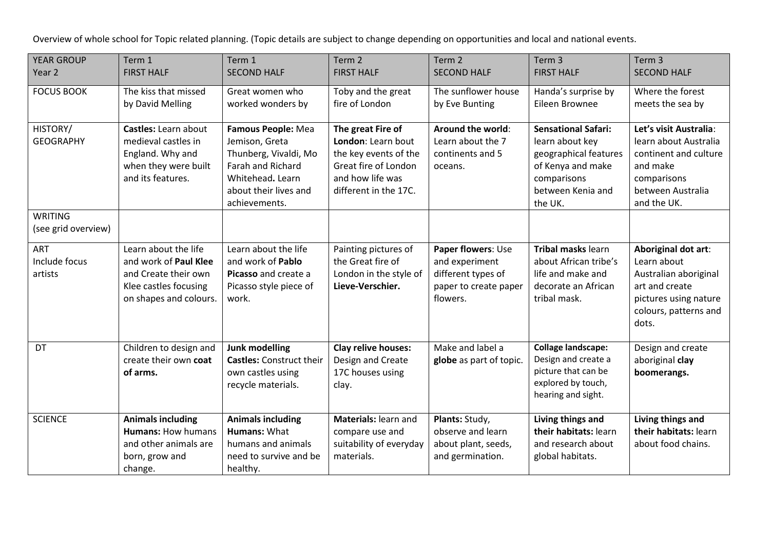Overview of whole school for Topic related planning. (Topic details are subject to change depending on opportunities and local and national events.

| <b>YEAR GROUP</b><br>Year 2            | Term 1<br><b>FIRST HALF</b>                                                                                              | Term 1<br><b>SECOND HALF</b>                                                                                                                     | Term <sub>2</sub><br><b>FIRST HALF</b>                                                                                                | Term <sub>2</sub><br><b>SECOND HALF</b>                                                         | Term <sub>3</sub><br><b>FIRST HALF</b>                                                                                                     | Term <sub>3</sub><br><b>SECOND HALF</b>                                                                                                  |
|----------------------------------------|--------------------------------------------------------------------------------------------------------------------------|--------------------------------------------------------------------------------------------------------------------------------------------------|---------------------------------------------------------------------------------------------------------------------------------------|-------------------------------------------------------------------------------------------------|--------------------------------------------------------------------------------------------------------------------------------------------|------------------------------------------------------------------------------------------------------------------------------------------|
| <b>FOCUS BOOK</b>                      | The kiss that missed<br>by David Melling                                                                                 | Great women who<br>worked wonders by                                                                                                             | Toby and the great<br>fire of London                                                                                                  | The sunflower house<br>by Eve Bunting                                                           | Handa's surprise by<br>Eileen Brownee                                                                                                      | Where the forest<br>meets the sea by                                                                                                     |
| HISTORY/<br><b>GEOGRAPHY</b>           | Castles: Learn about<br>medieval castles in<br>England. Why and<br>when they were built<br>and its features.             | Famous People: Mea<br>Jemison, Greta<br>Thunberg, Vivaldi, Mo<br>Farah and Richard<br>Whitehead. Learn<br>about their lives and<br>achievements. | The great Fire of<br>London: Learn bout<br>the key events of the<br>Great fire of London<br>and how life was<br>different in the 17C. | Around the world:<br>Learn about the 7<br>continents and 5<br>oceans.                           | <b>Sensational Safari:</b><br>learn about key<br>geographical features<br>of Kenya and make<br>comparisons<br>between Kenia and<br>the UK. | Let's visit Australia:<br>learn about Australia<br>continent and culture<br>and make<br>comparisons<br>between Australia<br>and the UK.  |
| <b>WRITING</b><br>(see grid overview)  |                                                                                                                          |                                                                                                                                                  |                                                                                                                                       |                                                                                                 |                                                                                                                                            |                                                                                                                                          |
| <b>ART</b><br>Include focus<br>artists | Learn about the life<br>and work of Paul Klee<br>and Create their own<br>Klee castles focusing<br>on shapes and colours. | Learn about the life<br>and work of Pablo<br>Picasso and create a<br>Picasso style piece of<br>work.                                             | Painting pictures of<br>the Great fire of<br>London in the style of<br>Lieve-Verschier.                                               | Paper flowers: Use<br>and experiment<br>different types of<br>paper to create paper<br>flowers. | Tribal masks learn<br>about African tribe's<br>life and make and<br>decorate an African<br>tribal mask.                                    | Aboriginal dot art:<br>Learn about<br>Australian aboriginal<br>art and create<br>pictures using nature<br>colours, patterns and<br>dots. |
| DT                                     | Children to design and<br>create their own coat<br>of arms.                                                              | Junk modelling<br><b>Castles: Construct their</b><br>own castles using<br>recycle materials.                                                     | Clay relive houses:<br>Design and Create<br>17C houses using<br>clay.                                                                 | Make and label a<br>globe as part of topic.                                                     | <b>Collage landscape:</b><br>Design and create a<br>picture that can be<br>explored by touch,<br>hearing and sight.                        | Design and create<br>aboriginal clay<br>boomerangs.                                                                                      |
| <b>SCIENCE</b>                         | <b>Animals including</b><br><b>Humans: How humans</b><br>and other animals are<br>born, grow and<br>change.              | <b>Animals including</b><br><b>Humans: What</b><br>humans and animals<br>need to survive and be<br>healthy.                                      | Materials: learn and<br>compare use and<br>suitability of everyday<br>materials.                                                      | Plants: Study,<br>observe and learn<br>about plant, seeds,<br>and germination.                  | Living things and<br>their habitats: learn<br>and research about<br>global habitats.                                                       | Living things and<br>their habitats: learn<br>about food chains.                                                                         |